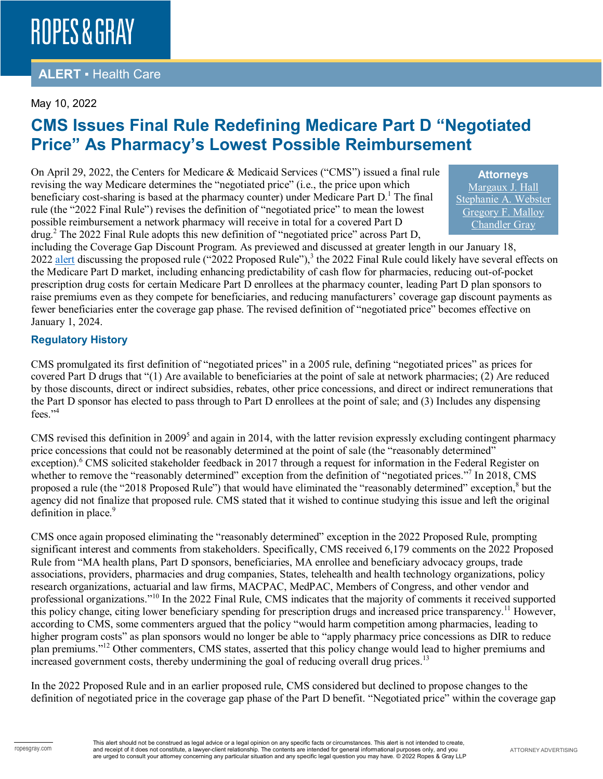### **ALERT** ▪ Health Care

#### May 10, 2022

## **CMS Issues Final Rule Redefining Medicare Part D "Negotiated Price" As Pharmacy's Lowest Possible Reimbursement**

On April 29, 2022, the Centers for Medicare & Medicaid Services ("CMS") issued a final rule revising the way Medicare determines the "negotiated price" (i.e., the price upon which beneficiary cost-sharing is based at the pharmacy counter) under Medicare Part  $D<sup>1</sup>$ . The final rule (the "2022 Final Rule") revises the definition of "negotiated price" to mean the lowest possible reimbursement a network pharmacy will receive in total for a covered Part D drug.<sup>2</sup> The 2022 Final Rule adopts this new definition of "negotiated price" across Part D,

**Attorneys** [Margaux J. Hall](https://www.ropesgray.com/en/biographies/h/margaux-hall) [Stephanie A. Webster](https://www.ropesgray.com/en/biographies/w/stephanie-webster) [Gregory F. Malloy](https://www.ropesgray.com/en/biographies/m/gregory-malloy) [Chandler Gray](https://www.ropesgray.com/en/biographies/g/Chandler-Gray)

including the Coverage Gap Discount Program. As previewed and discussed at greater length in our January 18, 2022 [alert](https://www.ropesgray.com/en/newsroom/alerts/2022/January/CMS-Proposes-Revised-Definition-of-Medicare-Part-D-Drug-Negotiated-Prices-Rule-Could) discussing the proposed rule ("2022 Proposed Rule"),<sup>3</sup> the 2022 Final Rule could likely have several effects on the Medicare Part D market, including enhancing predictability of cash flow for pharmacies, reducing out-of-pocket prescription drug costs for certain Medicare Part D enrollees at the pharmacy counter, leading Part D plan sponsors to raise premiums even as they compete for beneficiaries, and reducing manufacturers' coverage gap discount payments as fewer beneficiaries enter the coverage gap phase. The revised definition of "negotiated price" becomes effective on January 1, 2024.

#### **Regulatory History**

CMS promulgated its first definition of "negotiated prices" in a 2005 rule, defining "negotiated prices" as prices for covered Part D drugs that "(1) Are available to beneficiaries at the point of sale at network pharmacies; (2) Are reduced by those discounts, direct or indirect subsidies, rebates, other price concessions, and direct or indirect remunerations that the Part D sponsor has elected to pass through to Part D enrollees at the point of sale; and (3) Includes any dispensing fees."<sup>4</sup>

CMS revised this definition in  $2009<sup>5</sup>$  and again in 2014, with the latter revision expressly excluding contingent pharmacy price concessions that could not be reasonably determined at the point of sale (the "reasonably determined" exception).<sup>6</sup> CMS solicited stakeholder feedback in 2017 through a request for information in the Federal Register on whether to remove the "reasonably determined" exception from the definition of "negotiated prices."<sup>7</sup> In 2018, CMS proposed a rule (the "2018 Proposed Rule") that would have eliminated the "reasonably determined" exception,<sup>8</sup> but the agency did not finalize that proposed rule. CMS stated that it wished to continue studying this issue and left the original definition in place.<sup>9</sup>

CMS once again proposed eliminating the "reasonably determined" exception in the 2022 Proposed Rule, prompting significant interest and comments from stakeholders. Specifically, CMS received 6,179 comments on the 2022 Proposed Rule from "MA health plans, Part D sponsors, beneficiaries, MA enrollee and beneficiary advocacy groups, trade associations, providers, pharmacies and drug companies, States, telehealth and health technology organizations, policy research organizations, actuarial and law firms, MACPAC, MedPAC, Members of Congress, and other vendor and professional organizations."<sup>10</sup> In the 2022 Final Rule, CMS indicates that the majority of comments it received supported this policy change, citing lower beneficiary spending for prescription drugs and increased price transparency.<sup>11</sup> However, according to CMS, some commenters argued that the policy "would harm competition among pharmacies, leading to higher program costs" as plan sponsors would no longer be able to "apply pharmacy price concessions as DIR to reduce plan premiums."12 Other commenters, CMS states, asserted that this policy change would lead to higher premiums and increased government costs, thereby undermining the goal of reducing overall drug prices.<sup>13</sup>

In the 2022 Proposed Rule and in an earlier proposed rule, CMS considered but declined to propose changes to the definition of negotiated price in the coverage gap phase of the Part D benefit. "Negotiated price" within the coverage gap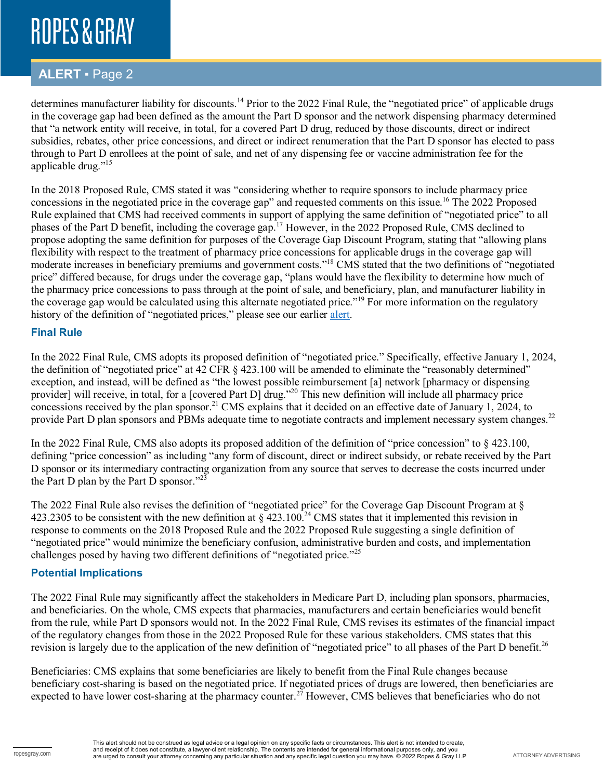### **ALERT** ▪ Page 2

determines manufacturer liability for discounts.<sup>14</sup> Prior to the 2022 Final Rule, the "negotiated price" of applicable drugs in the coverage gap had been defined as the amount the Part D sponsor and the network dispensing pharmacy determined that "a network entity will receive, in total, for a covered Part D drug, reduced by those discounts, direct or indirect subsidies, rebates, other price concessions, and direct or indirect renumeration that the Part D sponsor has elected to pass through to Part D enrollees at the point of sale, and net of any dispensing fee or vaccine administration fee for the applicable drug."<sup>15</sup>

In the 2018 Proposed Rule, CMS stated it was "considering whether to require sponsors to include pharmacy price concessions in the negotiated price in the coverage gap" and requested comments on this issue.<sup>16</sup> The 2022 Proposed Rule explained that CMS had received comments in support of applying the same definition of "negotiated price" to all phases of the Part D benefit, including the coverage gap.<sup>17</sup> However, in the 2022 Proposed Rule, CMS declined to propose adopting the same definition for purposes of the Coverage Gap Discount Program, stating that "allowing plans flexibility with respect to the treatment of pharmacy price concessions for applicable drugs in the coverage gap will moderate increases in beneficiary premiums and government costs."18 CMS stated that the two definitions of "negotiated price" differed because, for drugs under the coverage gap, "plans would have the flexibility to determine how much of the pharmacy price concessions to pass through at the point of sale, and beneficiary, plan, and manufacturer liability in the coverage gap would be calculated using this alternate negotiated price."<sup>19</sup> For more information on the regulatory history of the definition of "negotiated prices," please see our earlier [alert.](https://www.ropesgray.com/en/newsroom/alerts/2022/January/CMS-Proposes-Revised-Definition-of-Medicare-Part-D-Drug-Negotiated-Prices-Rule-Could)

#### **Final Rule**

In the 2022 Final Rule, CMS adopts its proposed definition of "negotiated price." Specifically, effective January 1, 2024, the definition of "negotiated price" at 42 CFR § 423.100 will be amended to eliminate the "reasonably determined" exception, and instead, will be defined as "the lowest possible reimbursement [a] network [pharmacy or dispensing provider] will receive, in total, for a [covered Part D] drug."<sup>20</sup> This new definition will include all pharmacy price concessions received by the plan sponsor.<sup>21</sup> CMS explains that it decided on an effective date of January 1, 2024, to provide Part D plan sponsors and PBMs adequate time to negotiate contracts and implement necessary system changes.<sup>22</sup>

In the 2022 Final Rule, CMS also adopts its proposed addition of the definition of "price concession" to § 423.100, defining "price concession" as including "any form of discount, direct or indirect subsidy, or rebate received by the Part D sponsor or its intermediary contracting organization from any source that serves to decrease the costs incurred under the Part D plan by the Part D sponsor."23

The 2022 Final Rule also revises the definition of "negotiated price" for the Coverage Gap Discount Program at § 423.2305 to be consistent with the new definition at  $\S$  423.100.<sup>24</sup> CMS states that it implemented this revision in response to comments on the 2018 Proposed Rule and the 2022 Proposed Rule suggesting a single definition of "negotiated price" would minimize the beneficiary confusion, administrative burden and costs, and implementation challenges posed by having two different definitions of "negotiated price."<sup>25</sup>

#### **Potential Implications**

The 2022 Final Rule may significantly affect the stakeholders in Medicare Part D, including plan sponsors, pharmacies, and beneficiaries. On the whole, CMS expects that pharmacies, manufacturers and certain beneficiaries would benefit from the rule, while Part D sponsors would not. In the 2022 Final Rule, CMS revises its estimates of the financial impact of the regulatory changes from those in the 2022 Proposed Rule for these various stakeholders. CMS states that this revision is largely due to the application of the new definition of "negotiated price" to all phases of the Part D benefit.<sup>26</sup>

Beneficiaries: CMS explains that some beneficiaries are likely to benefit from the Final Rule changes because beneficiary cost-sharing is based on the negotiated price. If negotiated prices of drugs are lowered, then beneficiaries are expected to have lower cost-sharing at the pharmacy counter.<sup>27</sup> However, CMS believes that beneficiaries who do not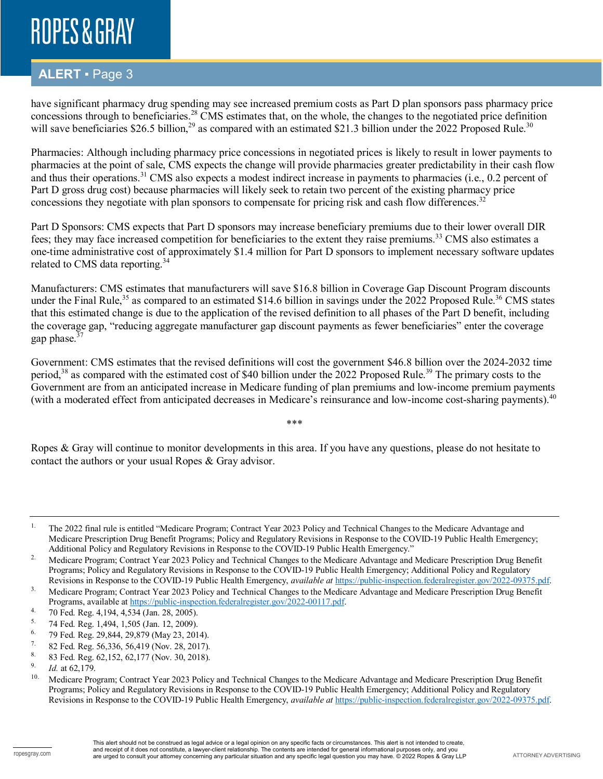### **ALERT** ▪ Page 3

have significant pharmacy drug spending may see increased premium costs as Part D plan sponsors pass pharmacy price concessions through to beneficiaries.<sup>28</sup> CMS estimates that, on the whole, the changes to the negotiated price definition will save beneficiaries \$26.5 billion,<sup>29</sup> as compared with an estimated \$21.3 billion under the 2022 Proposed Rule.<sup>30</sup>

Pharmacies: Although including pharmacy price concessions in negotiated prices is likely to result in lower payments to pharmacies at the point of sale, CMS expects the change will provide pharmacies greater predictability in their cash flow and thus their operations.<sup>31</sup> CMS also expects a modest indirect increase in payments to pharmacies (i.e., 0.2 percent of Part D gross drug cost) because pharmacies will likely seek to retain two percent of the existing pharmacy price concessions they negotiate with plan sponsors to compensate for pricing risk and cash flow differences.<sup>32</sup>

Part D Sponsors: CMS expects that Part D sponsors may increase beneficiary premiums due to their lower overall DIR fees; they may face increased competition for beneficiaries to the extent they raise premiums.<sup>33</sup> CMS also estimates a one-time administrative cost of approximately \$1.4 million for Part D sponsors to implement necessary software updates related to CMS data reporting.<sup>34</sup>

Manufacturers: CMS estimates that manufacturers will save \$16.8 billion in Coverage Gap Discount Program discounts under the Final Rule,<sup>35</sup> as compared to an estimated \$14.6 billion in savings under the 2022 Proposed Rule.<sup>36</sup> CMS states that this estimated change is due to the application of the revised definition to all phases of the Part D benefit, including the coverage gap, "reducing aggregate manufacturer gap discount payments as fewer beneficiaries" enter the coverage gap phase.<sup>37</sup>

Government: CMS estimates that the revised definitions will cost the government \$46.8 billion over the 2024-2032 time period,<sup>38</sup> as compared with the estimated cost of \$40 billion under the 2022 Proposed Rule.<sup>39</sup> The primary costs to the Government are from an anticipated increase in Medicare funding of plan premiums and low-income premium payments (with a moderated effect from anticipated decreases in Medicare's reinsurance and low-income cost-sharing payments).<sup>40</sup>

\*\*\*

Ropes & Gray will continue to monitor developments in this area. If you have any questions, please do not hesitate to contact the authors or your usual Ropes & Gray advisor.

<sup>&</sup>lt;sup>1.</sup> The 2022 final rule is entitled "Medicare Program; Contract Year 2023 Policy and Technical Changes to the Medicare Advantage and Medicare Prescription Drug Benefit Programs; Policy and Regulatory Revisions in Response to the COVID-19 Public Health Emergency; Additional Policy and Regulatory Revisions in Response to the COVID-19 Public Health Emergency."

<sup>&</sup>lt;sup>2.</sup> Medicare Program; Contract Year 2023 Policy and Technical Changes to the Medicare Advantage and Medicare Prescription Drug Benefit Programs; Policy and Regulatory Revisions in Response to the COVID-19 Public Health Emergency; Additional Policy and Regulatory Revisions in Response to the COVID-19 Public Health Emergency, *available at* [https://public-inspection.federalregister.gov/2022-09375.pdf.](https://public-inspection.federalregister.gov/2022-09375.pdf)

<sup>&</sup>lt;sup>3.</sup> Medicare Program; Contract Year 2023 Policy and Technical Changes to the Medicare Advantage and Medicare Prescription Drug Benefit Programs, available at [https://public-inspection.federalregister.gov/2022-00117.pdf.](https://public-inspection.federalregister.gov/2022-00117.pdf)

<sup>&</sup>lt;sup>4.</sup> 70 Fed. Reg. 4,194, 4,534 (Jan. 28, 2005).

<sup>&</sup>lt;sup>5.</sup> 74 Fed. Reg. 1,494, 1,505 (Jan. 12, 2009).<br><sup>6.</sup> 79 Fed. Reg. 29 844, 29 879 (May 23, 201

<sup>&</sup>lt;sup>6.</sup> 79 Fed. Reg. 29,844, 29,879 (May 23, 2014).<br><sup>7.</sup> 82 Fed. Reg. 56,336, 56,419 (Nov. 28, 2017).

<sup>&</sup>lt;sup>7.</sup> 82 Fed. Reg. 56,336, 56,419 (Nov. 28, 2017).<br>8. 92 Fed. Box. 62, 152, 62, 177 (Nov. 20, 2018).

<sup>&</sup>lt;sup>8.</sup> 83 Fed. Reg. 62,152, 62,177 (Nov. 30, 2018).

<sup>&</sup>lt;sup>9.</sup> *Id.* at 62,179.

<sup>10.</sup> Medicare Program; Contract Year 2023 Policy and Technical Changes to the Medicare Advantage and Medicare Prescription Drug Benefit Programs; Policy and Regulatory Revisions in Response to the COVID-19 Public Health Emergency; Additional Policy and Regulatory Revisions in Response to the COVID-19 Public Health Emergency, *available at* [https://public-inspection.federalregister.gov/2022-09375.pdf.](https://public-inspection.federalregister.gov/2022-09375.pdf)